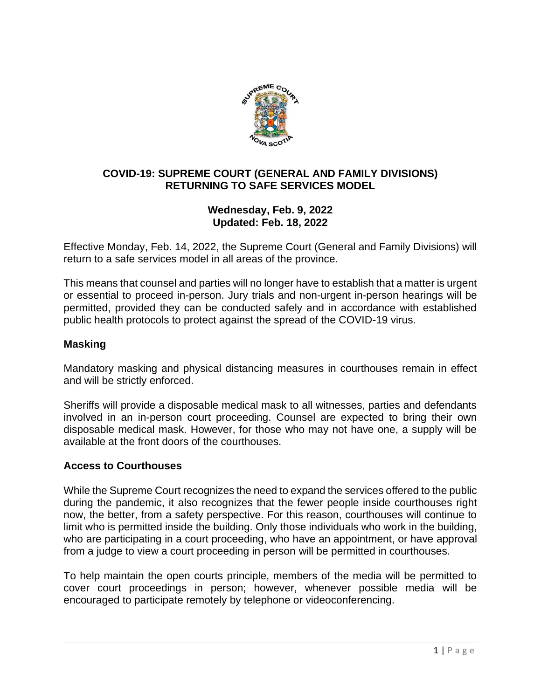

## **COVID-19: SUPREME COURT (GENERAL AND FAMILY DIVISIONS) RETURNING TO SAFE SERVICES MODEL**

# **Wednesday, Feb. 9, 2022 Updated: Feb. 18, 2022**

Effective Monday, Feb. 14, 2022, the Supreme Court (General and Family Divisions) will return to a safe services model in all areas of the province.

This means that counsel and parties will no longer have to establish that a matter is urgent or essential to proceed in-person. Jury trials and non-urgent in-person hearings will be permitted, provided they can be conducted safely and in accordance with established public health protocols to protect against the spread of the COVID-19 virus.

# **Masking**

Mandatory masking and physical distancing measures in courthouses remain in effect and will be strictly enforced.

Sheriffs will provide a disposable medical mask to all witnesses, parties and defendants involved in an in-person court proceeding. Counsel are expected to bring their own disposable medical mask. However, for those who may not have one, a supply will be available at the front doors of the courthouses.

### **Access to Courthouses**

While the Supreme Court recognizes the need to expand the services offered to the public during the pandemic, it also recognizes that the fewer people inside courthouses right now, the better, from a safety perspective. For this reason, courthouses will continue to limit who is permitted inside the building. Only those individuals who work in the building, who are participating in a court proceeding, who have an appointment, or have approval from a judge to view a court proceeding in person will be permitted in courthouses.

To help maintain the open courts principle, members of the media will be permitted to cover court proceedings in person; however, whenever possible media will be encouraged to participate remotely by telephone or videoconferencing.